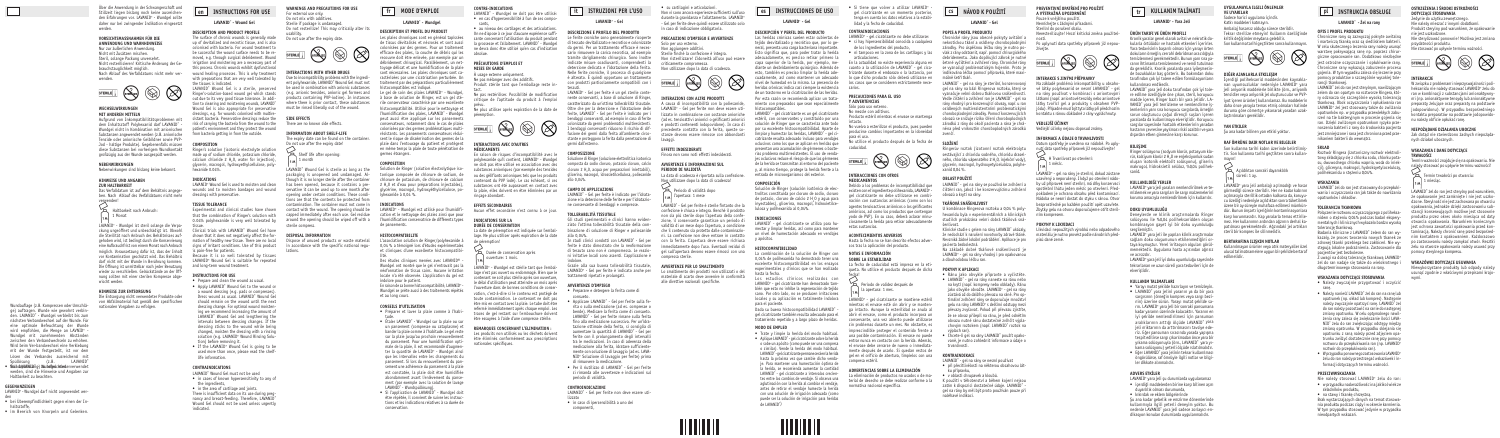**CZ NÁVOD K POUŽITÍ**

**LAVANID**® **- Gel**

# **POPIS A PROFIL PRODUKTU**

Chronické rány jsou obecně pokryty avitální a nekrotickou tkání a osídleny choroboplodnými zárodky. Pro úspěšnou léčbu rány je nutno povlak z rány odstranit, např. pomocí chirurgického debridementu. Jako doplňující zákrok je nutné šetrné vyčištění a zvlhčení rány. Chronické rány se vyznačují problematickým hojením. Proto je indikována léčba pomocí přípravků, které maximálně šetří tkáň.

LAVANID® - gel na rány je sterilní, konzervovaný gel na rány na bázi Ringerova roztoku, který se vyznačuje velmi dobrou tkáňovou snášenlivostí. Vedle čištění a zvlhčení ran je LAVANID® - gel na rány vhodný i pro konzervující obvazy, např. u ran osídlených multirezistentními problematickými choroboplodnými zárodky. Pomocí konzervujících obvazů se snižuje riziko šíření choroboplodných zárodků z rány do okolí pacienta a rána je chráněna před vniknutím choroboplodných zárodků zvenčí.

# **SLOŽENÍ**

Ringerův roztok (izotonní roztok elektrolytu sestávající z chloridu sodného, chloridu draselného, chloridu vápenatého 2 H<sub>2</sub>O, injekční vody), glycerin, macrogol, hydroxyetylcelulóza, polyhexanid 0,04 %.

## **OBLAST POUŽITÍ**

LAVANID® - gel na rány se používá ke zvlhčení a čištění ran, jakož i ke konzervujícímu zvlhčení obvazů a krytí na rány.

### **TKÁŇOVÁ SNÁŠENLIVOST**

U kombinace Ringerova roztoku a 0,04 % polyhexanidu byla v experimentálních a klinických studiích prokázána velmi dobrá tkáňová snášenlivost.

Klinické studie s gelem na rány LAVANID® ukázaly, že nedochází k narušení novotvorby zdravé tkáně. Nevzniká žádné lokální podráždění. Aplikace je pro pacienta bezbolestná.

Na základě dobré tkáňové snášenlivosti je LAVANID® - gel na rány vhodný i pro opakovanou a dlouhodobou léčbu ran.

# **POKYNY K APLIKACI**

- Ránu jako obvykle připravte a vyčistěte.
- LAVANID® gel na rány naneste na ránu nebo na krytí (např. kompresy nebo obklady). Ránu jako obvykle obvažte. LAVANID® - gel na rány zůstává až do dalšího převazu na ráně. Pro optimální zvlhčení rány se doporučuje množství<br>gelu na rány LAVANID® s delšími odstupy mezi převazy zvyšovat. Pokud při převazu zjistíte, že se obvaz přilepil na ránu, je před odnětím obvazu nutné ránu dostatečně zvlhčit výplachovým roztokem (např. LAVANID® roztok na výplach ran).
- Chcete-li gel na rány LAVANID® použít opakovaně, je nutno zohlednit informace a údaje o trvanlivosti.

# **KONTRAINDIKACE**

LAVANID® - gel na rány se nesmí používat

- při přecitlivělosti na některou obsahovou látku přípravku,
- • v oblasti chrupavek a kloubů.

K použití v těhotenství a během kojení nejsou zatím k dispozici dostatečné údaje. LAVANID® gel na rány by měl být proto používán pouze při naléhavé indikaci.

#### **PREVENTIVNÍ OPATŘENÍ PRO POUŽITÍ A VÝSTRAŽNÁ UPOZORNĚNÍ enfr information ital** *enfrer**enfrerantival opatreni pro pouziti* $\frac{1}{2}$ *sumplement**i* **a výstražná upozornění.**

Pouze k vnějšímu použití. Nemíchejte s žádnými přísadami. Sterilní do porušení obalu.

Neresterilizujte! Hrozí kritická změna použitelnosti.

Po uplynutí data spotřeby přípravek již nepoužívejte.



# **INTERAKCE S JINÝMI PŘÍPRAVKY**

Na základě problémů inkompatibility u obsahové látky polyhexanid se nesmí LAVANID® - gel na rány používat v kombinaci s aniontovými látkami (např. aniontové tenzidy nebo aniontové látky tvořící gel a produkty s obsahem PVPjódu). Případně musí být tyto látky při předchozím kontaktu s ránou důkladně z rány vypláchnuty.

# **VEDLEJŠÍ ÚČINKY**

Vedlejší účinky nejsou doposud známy.

#### **INFORMACE A ÚDAJE O TRVANLIVOSTI**

Datum spotřeby je uvedeno na nádobě. Po uplynutí data spotřeby přípravek již nepoužívejte!



H Trvanlivost po otevření: 1 měsíc.

LAVANID® - gel na rány je sterilní, dokud zůstane uzavřený a neporušený. I když po otevření nádoby už přípravek není sterilní, má díky konzervaci spotřební lhůtu jeden měsíc po otevření. Předpokladem je ochrana obsahu před kontaminací. Nádoba se nesmí dostat do styku s ránou. Otvor bezprostředně po každém použití opět uzavřete. Zbytky gelu na otvoru doporučujeme otřít sterilním kompresem.

#### **POKYNY K LIKVIDACI**

Likvidaci nepoužitých výrobků nebo odpadového materiálu je nutno provést podle národních předpisů dané země.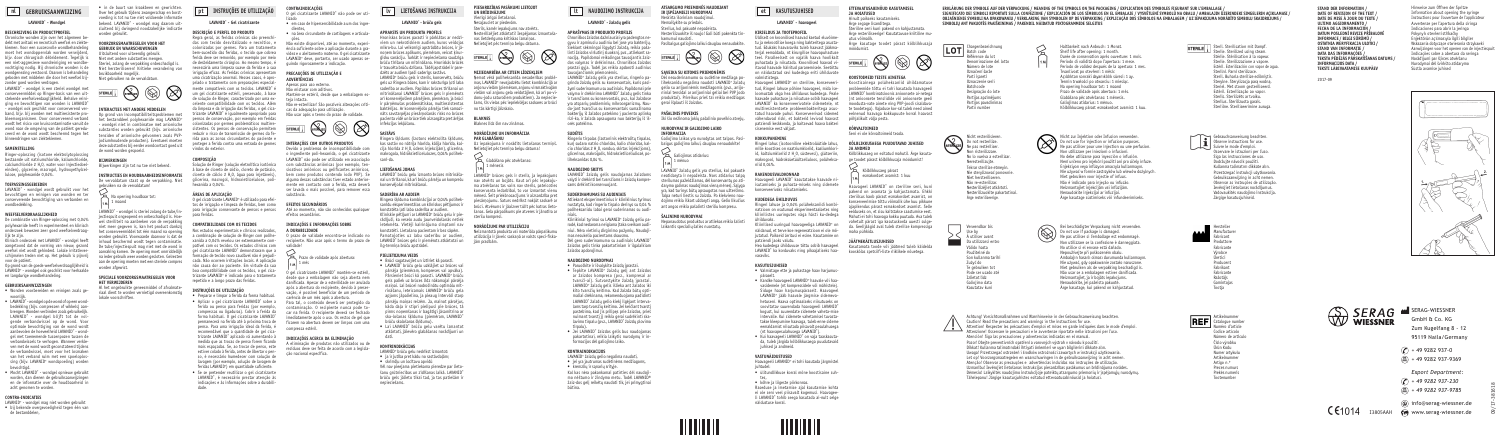**STAND DER INFORMATION / DATE OF REVISION OF THE TEXT / DATE DE MISE À JOUR DU TEXTE / ULTIMO AGGIORNAMENTO / FECHA DE LA INFORMACIÓN DATUM POSLEDNÍ REVIZE PŘÍBALOVÉ INFORMACE / BILGI SÜRÜMÜ / OSTATNIA WERYFIKACJA ULOTKI / STAND VAN INFORMATIE / DATA DAS INFORMAÇÕES / TEKSTA PĒDĒJĀS PĀRSKATĪŠANAS DATUMS / INFORMACIJOS DATA / TEKSTI LÄBIVAATAMISE KUUPÄEV**

2017-09

Hinweise zum Öffnen der Spritze Information about opening the syringe Instructions pour l'ouverture de l'applicateur Avvertenze per l'apertura della siringa Indicaciones para abrir la jeringa Pokyny k otevření stříkačky Enjektörün açılmasıyla ilgili bilgiler Wskazania dotyczące otwierania strzykawki Aanwijzingen voor het openen van de injectiespuit Indicações sobre a abertura da seringa Norādījumi par šļirces atvēršanu Nurodymai dėl švirkšto atidarymo Süstla avamise juhised





09/17-381618 09/17-381618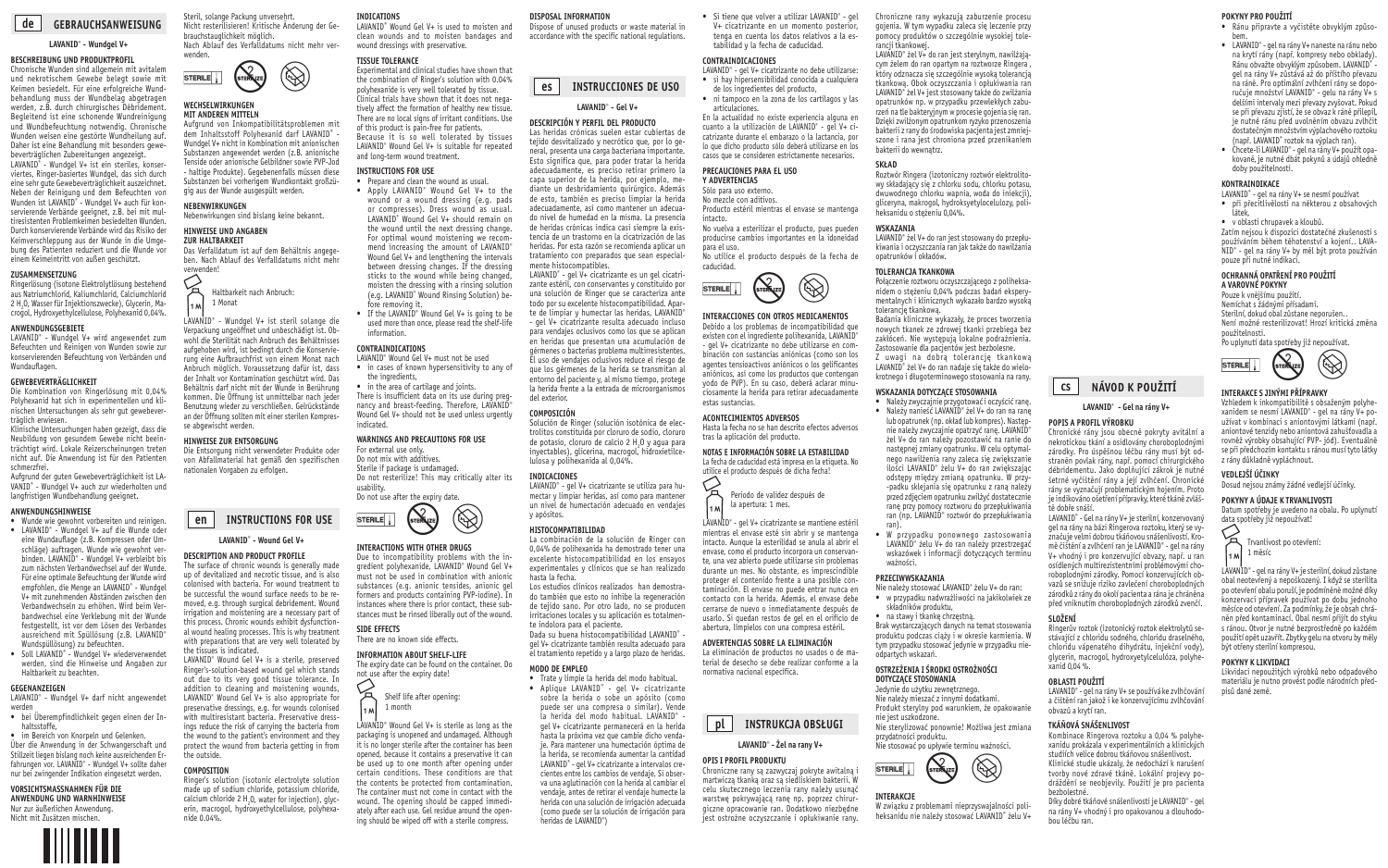**cs**

# **NÁVOD K POUŽITÍ**

### **LAVANID**®  **- Gel na rány V+**

#### **POPIS A PROFIL VÝROBKU**

Chronické rány jsou obecně pokryty avitální a nekrotickou tkání a osidlovány choroboplodnými zárodky. Pro úspěšnou léčbu rány musí být odstraněn povlak rány, např. pomocí chirurgického débridementu. Jako doplňující zákrok je nutné šetrné vyčištění rány a její zvlhčení. Chronické rány se vyznačují problematickým hojením. Proto je indikováno ošetření přípravky, které tkáně zvláště dobře snáší.

LAVANID® - Gel na rány V+ je sterilní, konzervovaný gel na rány na bázi Ringerova roztoku, který se vyznačuje velmi dobrou tkáňovou snášenlivostí. Kromě čištění a zvlhčení ran je LAVANID® - gel na rány V+ vhodný i pro konzervující obvazy, např. u ran osídlených multirezistentními problémovými choroboplodnými zárodky. Pomocí konzervujících obvazů se snižuje riziko zavlečení choroboplodných zárodků z rány do okolí pacienta a rána je chráněna před vniknutím choroboplodných zárodků zvenčí.

### **SLOŽENÍ**

Ringerův roztok (izotonický roztok elektrolytů sestávající z chloridu sodného, chloridu draselného, chloridu vápenatého dihydrátu, injekční vody), glycerin, macrogol, hydroxyetylcelulóza, polyhexanid 0,04 %.

### **OBLASTI POUŽITÍ**

LAVANID® - gel na rány V+ se používá ke zvlhčování a čištění ran jakož i ke konzervujícímu zvlhčování obvazů a krytí ran.

#### **TKÁŇOVÁ SNÁŠENLIVOST**

Kombinace Ringerova roztoku a 0,04 % polyhexanidu prokázala v experimentálních a klinických studiích velice dobrou tkáňovou snášenlivost.

Klinické studie ukázaly, že nedochází k narušení tvorby nové zdravé tkáně. Lokální projevy podráždění se neobjevily. Použití je pro pacienta bezbolestné.

Díky dobré tkáňové snášenlivosti je LAVANID® - gel na rány V+ vhodný i pro opakovanou a dlouhodobou léčbu ran.

#### **POKYNY PRO POUŽITÍ**

- Ránu připravte a vyčistěte obvyklým způsobem.
- LAVANID® gel na rány V+ naneste na ránu nebo na krytí rány (např. kompresy nebo obklady). Ránu obvažte obvyklým způsobem. LAVANID® - gel na rány V+ zůstává až do příštího převazu na ráně. Pro optimální zvlhčení rány se doporučuje množství LAVANID® - gelu na rány V+ s delšími intervaly mezi převazy zvyšovat. Pokud se při převazu zjistí, že se obvaz k ráně přilepil, je nutné ránu před uvolněním obvazu zvlhčit dostatečným množstvím výplachového roztoku (např. LAVANID® roztok na výplach ran).
- Chcete-li LAVANID® gel na rány V+ použít opakovaně, je nutné dbát pokynů a údajů ohledně doby použitelnosti.

### **KONTRAINDIKACE**

- LAVANID<sup>®</sup> gel na rány V+ se nesmí používat
- LAVANID® gel na rány V+ se nesmí používat<br>• při přecitlivělosti na některou z obsahových<br>látek,
- v oblasti chrupavek a kloubů.

Zatím nejsou k dispozici dostatečné zkušenosti s používáním během těhotenství a kojení.. LAVA-NID® - gel na rány V+ by měl být proto používán pouze při nutné indikaci.

#### **OCHRANNÁ OPATŘENÍ PRO POUŽITÍ A VAROVNÉ POKYNY**

Pouze k vnějšímu použití. Nemíchat s žádnými přísadami. Sterilní, dokud obal zůstane neporušen. Není možné resterilizovat! Hrozí kritická změna použitelnosti.

Po uplynutí data spotřeby již nepoužívat.



## **INTERAKCE S JINÝMI PŘÍPRAVKY**

Vzhledem k inkompatibilitě s obsaženým polyhexanidem se nesmí LAVANID® - gel na rány V+ používat v kombinaci s aniontovými látkami (např. aniontové tenzidy nebo aniontová zahušťovadla a rovněž výrobky obsahující PVP- jód). Eventuálně se při předchozím kontaktu s ránou musí tyto látky z rány důkladně vypláchnout.

### **VEDLEJŠÍ ÚČINKY**

Dosud nejsou známy žádné vedlejší účinky.

#### **POKYNY A ÚDAJE K TRVANLIVOSTI**

Datum spotřeby je uvedeno na obalu. Po uplynutí data spotřeby již nepoužívat!



Trvanlivost po otevření: 1 měsíc

LAVANID® - gel na rány V+ je sterilní, dokud zůstane obal neotevřený a nepoškozený. I když se sterilita po otevření obalu poruší, je podmíněně možné díky konzervaci přípravek používat po dobu jednoho měsíce od otevření. Za podmínky, že je obsah chráněn před kontaminací. Obal nesmí přijít do styku s ránou. Otvor je nutné bezprostředně po každém použití opět uzavřít. Zbytky gelu na otvoru by měly být otřeny sterilní kompresou.

#### **POKYNY K LIKVIDACI**

Likvidaci nepoužitých výrobků nebo odpadového materiálu je nutno provést podle národních předpisů dané země.